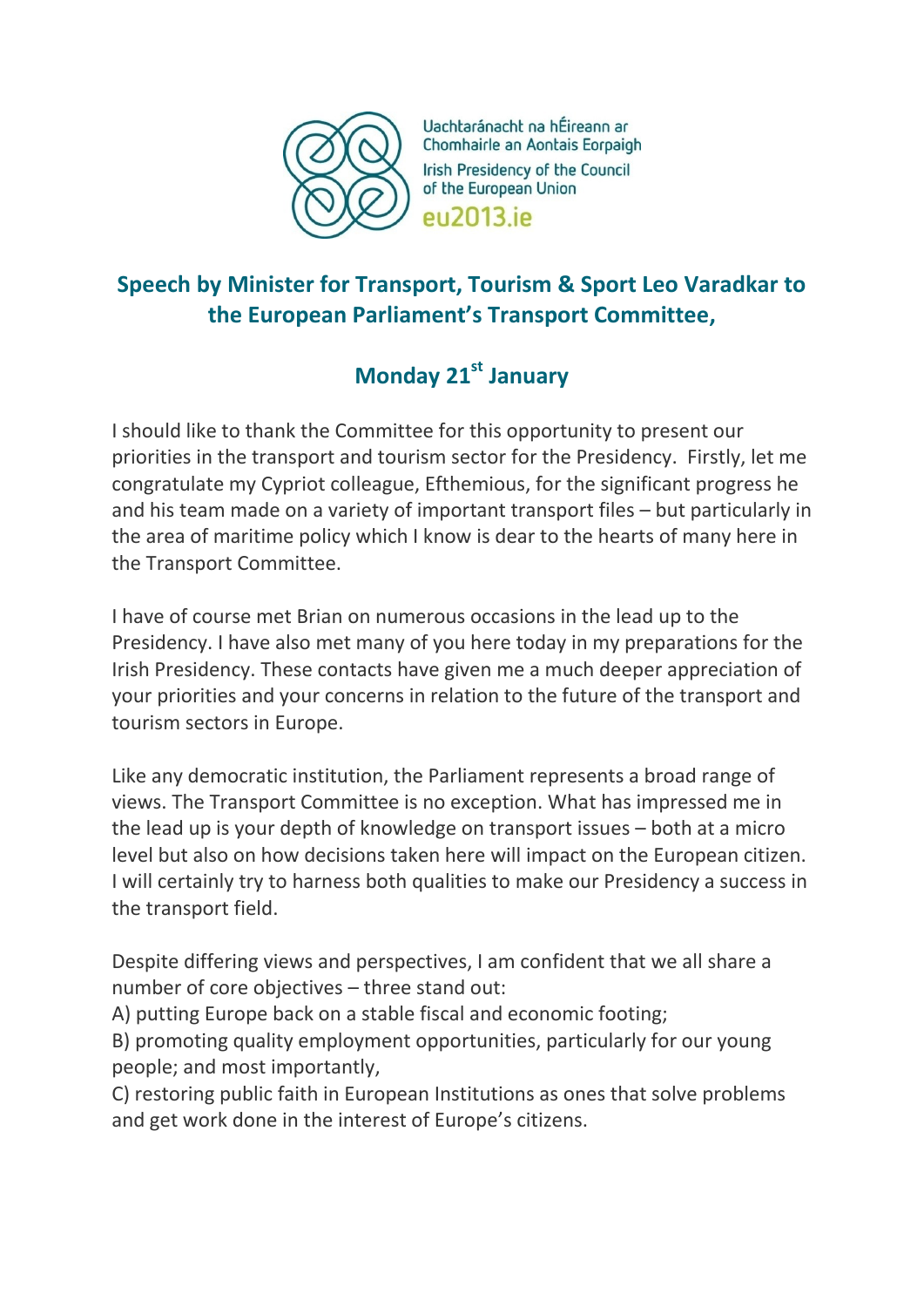

Uachtaránacht na hÉireann ar Chomhairle an Aontais Eorpaigh **Irish Presidency of the Council** of the European Union **PU2013** iP

## **Speech by Minister for Transport, Tourism & Sport Leo Varadkar to the European Parliament's Transport Committee,**

## **Monday 21st January**

I should like to thank the Committee for this opportunity to present our priorities in the transport and tourism sector for the Presidency. Firstly, let me congratulate my Cypriot colleague, Efthemious, for the significant progress he and his team made on a variety of important transport files – but particularly in the area of maritime policy which I know is dear to the hearts of many here in the Transport Committee.

I have of course met Brian on numerous occasions in the lead up to the Presidency. I have also met many of you here today in my preparations for the Irish Presidency. These contacts have given me a much deeper appreciation of your priorities and your concerns in relation to the future of the transport and tourism sectors in Europe.

Like any democratic institution, the Parliament represents a broad range of views. The Transport Committee is no exception. What has impressed me in the lead up is your depth of knowledge on transport issues – both at a micro level but also on how decisions taken here will impact on the European citizen. I will certainly try to harness both qualities to make our Presidency a success in the transport field.

Despite differing views and perspectives, I am confident that we all share a number of core objectives – three stand out:

A) putting Europe back on a stable fiscal and economic footing;

B) promoting quality employment opportunities, particularly for our young people; and most importantly,

C) restoring public faith in European Institutions as ones that solve problems and get work done in the interest of Europe's citizens.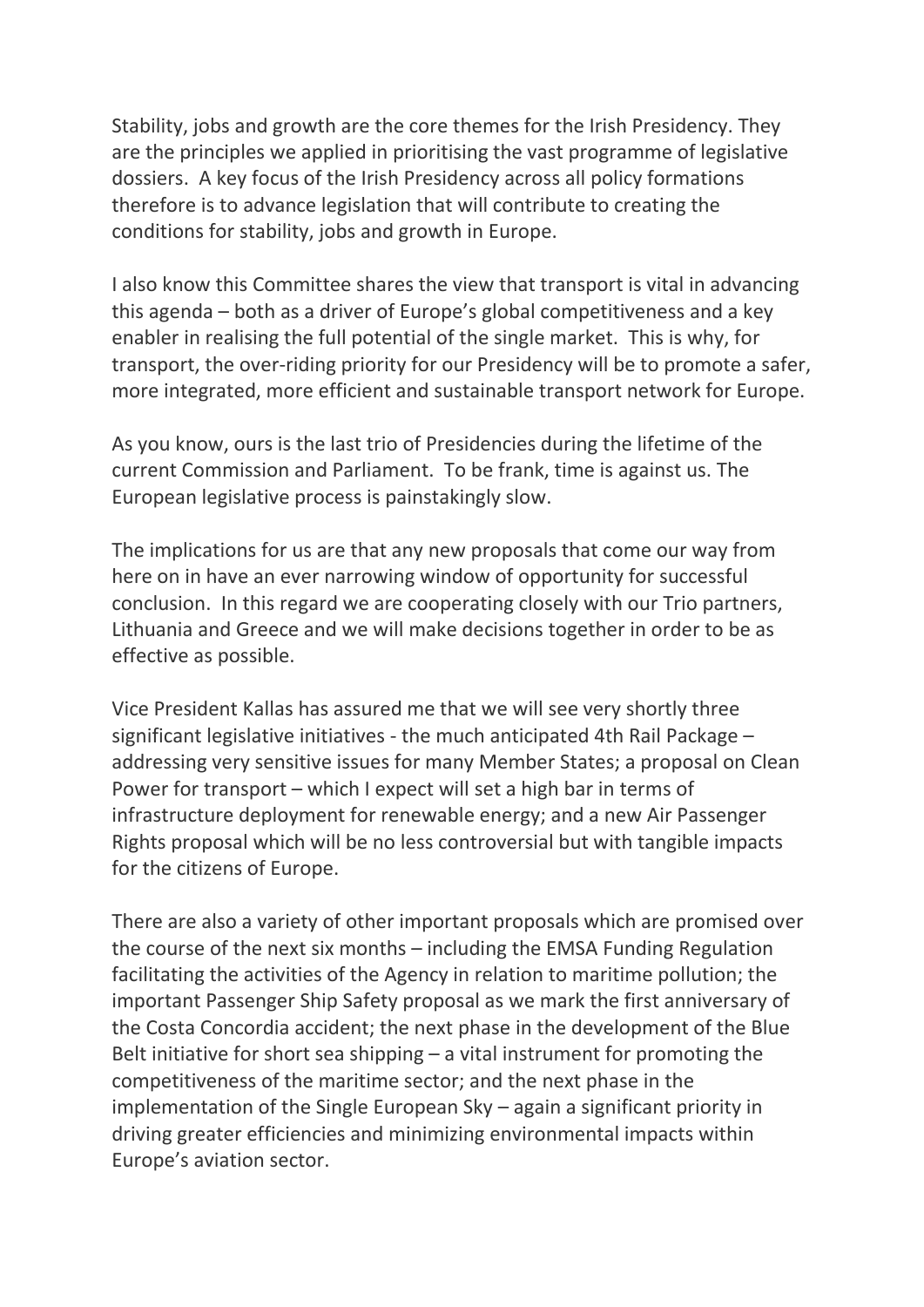Stability, jobs and growth are the core themes for the Irish Presidency. They are the principles we applied in prioritising the vast programme of legislative dossiers. A key focus of the Irish Presidency across all policy formations therefore is to advance legislation that will contribute to creating the conditions for stability, jobs and growth in Europe.

I also know this Committee shares the view that transport is vital in advancing this agenda – both as a driver of Europe's global competitiveness and a key enabler in realising the full potential of the single market. This is why, for transport, the over-riding priority for our Presidency will be to promote a safer, more integrated, more efficient and sustainable transport network for Europe.

As you know, ours is the last trio of Presidencies during the lifetime of the current Commission and Parliament. To be frank, time is against us. The European legislative process is painstakingly slow.

The implications for us are that any new proposals that come our way from here on in have an ever narrowing window of opportunity for successful conclusion. In this regard we are cooperating closely with our Trio partners, Lithuania and Greece and we will make decisions together in order to be as effective as possible.

Vice President Kallas has assured me that we will see very shortly three significant legislative initiatives - the much anticipated 4th Rail Package – addressing very sensitive issues for many Member States; a proposal on Clean Power for transport – which I expect will set a high bar in terms of infrastructure deployment for renewable energy; and a new Air Passenger Rights proposal which will be no less controversial but with tangible impacts for the citizens of Europe.

There are also a variety of other important proposals which are promised over the course of the next six months – including the EMSA Funding Regulation facilitating the activities of the Agency in relation to maritime pollution; the important Passenger Ship Safety proposal as we mark the first anniversary of the Costa Concordia accident; the next phase in the development of the Blue Belt initiative for short sea shipping  $-$  a vital instrument for promoting the competitiveness of the maritime sector; and the next phase in the implementation of the Single European Sky – again a significant priority in driving greater efficiencies and minimizing environmental impacts within Europe's aviation sector.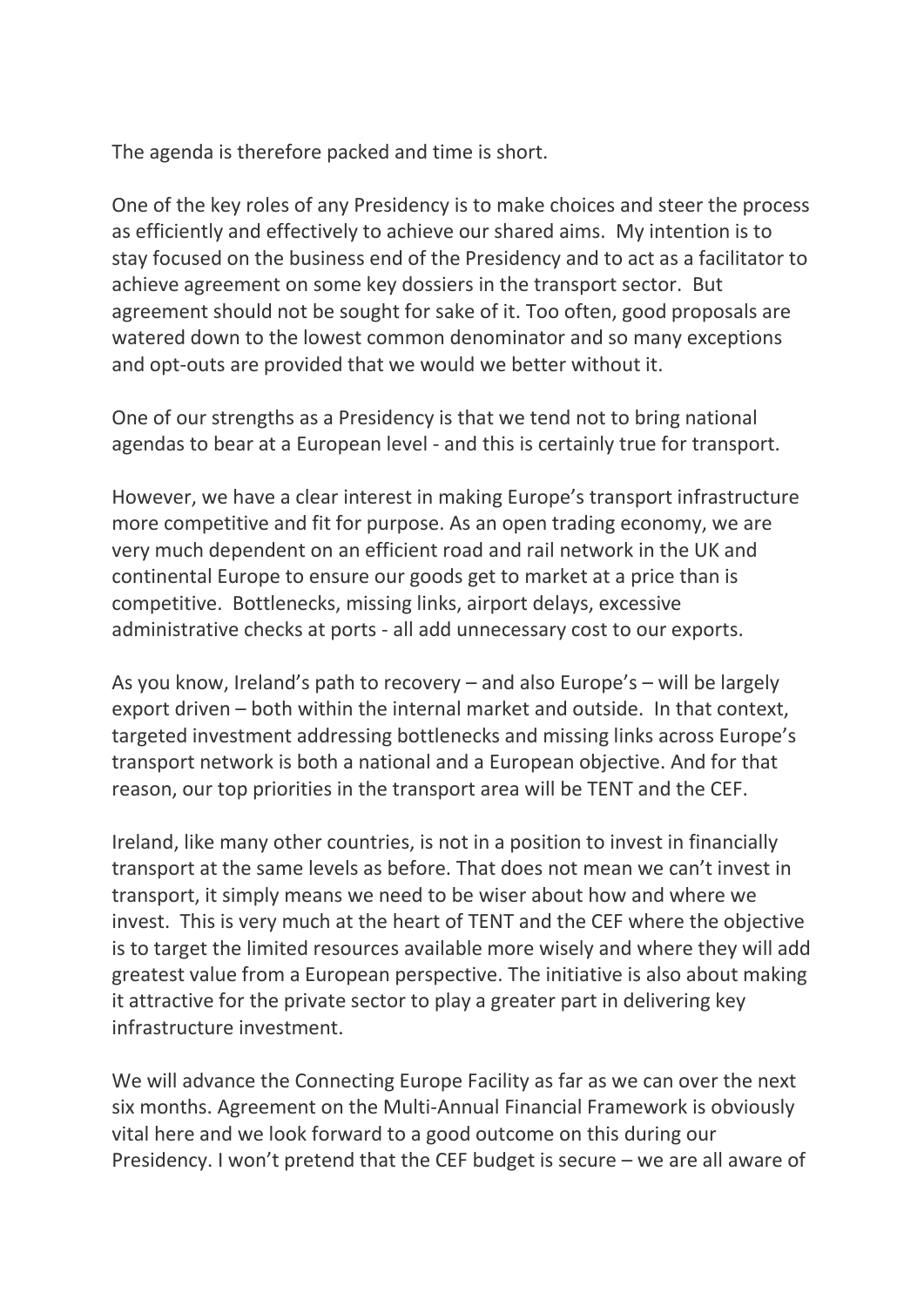The agenda is therefore packed and time is short.

One of the key roles of any Presidency is to make choices and steer the process as efficiently and effectively to achieve our shared aims. My intention is to stay focused on the business end of the Presidency and to act as a facilitator to achieve agreement on some key dossiers in the transport sector. But agreement should not be sought for sake of it. Too often, good proposals are watered down to the lowest common denominator and so many exceptions and opt-outs are provided that we would we better without it.

One of our strengths as a Presidency is that we tend not to bring national agendas to bear at a European level - and this is certainly true for transport.

However, we have a clear interest in making Europe's transport infrastructure more competitive and fit for purpose. As an open trading economy, we are very much dependent on an efficient road and rail network in the UK and continental Europe to ensure our goods get to market at a price than is competitive. Bottlenecks, missing links, airport delays, excessive administrative checks at ports - all add unnecessary cost to our exports.

As you know, Ireland's path to recovery – and also Europe's – will be largely export driven – both within the internal market and outside. In that context, targeted investment addressing bottlenecks and missing links across Europe's transport network is both a national and a European objective. And for that reason, our top priorities in the transport area will be TENT and the CEF.

Ireland, like many other countries, is not in a position to invest in financially transport at the same levels as before. That does not mean we can't invest in transport, it simply means we need to be wiser about how and where we invest. This is very much at the heart of TENT and the CEF where the objective is to target the limited resources available more wisely and where they will add greatest value from a European perspective. The initiative is also about making it attractive for the private sector to play a greater part in delivering key infrastructure investment.

We will advance the Connecting Europe Facility as far as we can over the next six months. Agreement on the Multi-Annual Financial Framework is obviously vital here and we look forward to a good outcome on this during our Presidency. I won't pretend that the CEF budget is secure – we are all aware of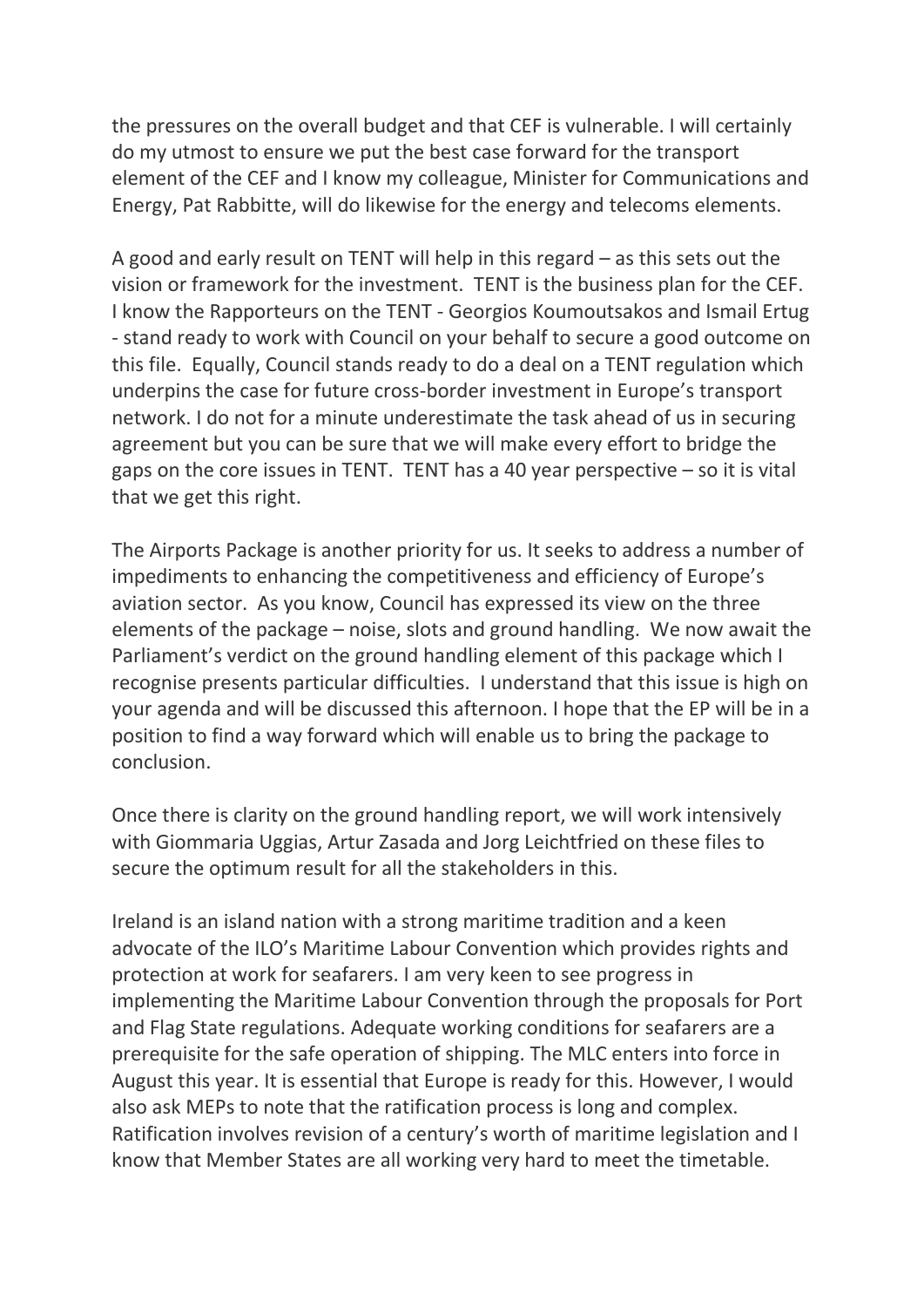the pressures on the overall budget and that CEF is vulnerable. I will certainly do my utmost to ensure we put the best case forward for the transport element of the CEF and I know my colleague, Minister for Communications and Energy, Pat Rabbitte, will do likewise for the energy and telecoms elements.

A good and early result on TENT will help in this regard – as this sets out the vision or framework for the investment. TENT is the business plan for the CEF. I know the Rapporteurs on the TENT - Georgios Koumoutsakos and Ismail Ertug - stand ready to work with Council on your behalf to secure a good outcome on this file. Equally, Council stands ready to do a deal on a TENT regulation which underpins the case for future cross-border investment in Europe's transport network. I do not for a minute underestimate the task ahead of us in securing agreement but you can be sure that we will make every effort to bridge the gaps on the core issues in TENT. TENT has a 40 year perspective – so it is vital that we get this right.

The Airports Package is another priority for us. It seeks to address a number of impediments to enhancing the competitiveness and efficiency of Europe's aviation sector. As you know, Council has expressed its view on the three elements of the package – noise, slots and ground handling. We now await the Parliament's verdict on the ground handling element of this package which I recognise presents particular difficulties. I understand that this issue is high on your agenda and will be discussed this afternoon. I hope that the EP will be in a position to find a way forward which will enable us to bring the package to conclusion.

Once there is clarity on the ground handling report, we will work intensively with Giommaria Uggias, Artur Zasada and Jorg Leichtfried on these files to secure the optimum result for all the stakeholders in this.

Ireland is an island nation with a strong maritime tradition and a keen advocate of the ILO's Maritime Labour Convention which provides rights and protection at work for seafarers. I am very keen to see progress in implementing the Maritime Labour Convention through the proposals for Port and Flag State regulations. Adequate working conditions for seafarers are a prerequisite for the safe operation of shipping. The MLC enters into force in August this year. It is essential that Europe is ready for this. However, I would also ask MEPs to note that the ratification process is long and complex. Ratification involves revision of a century's worth of maritime legislation and I know that Member States are all working very hard to meet the timetable.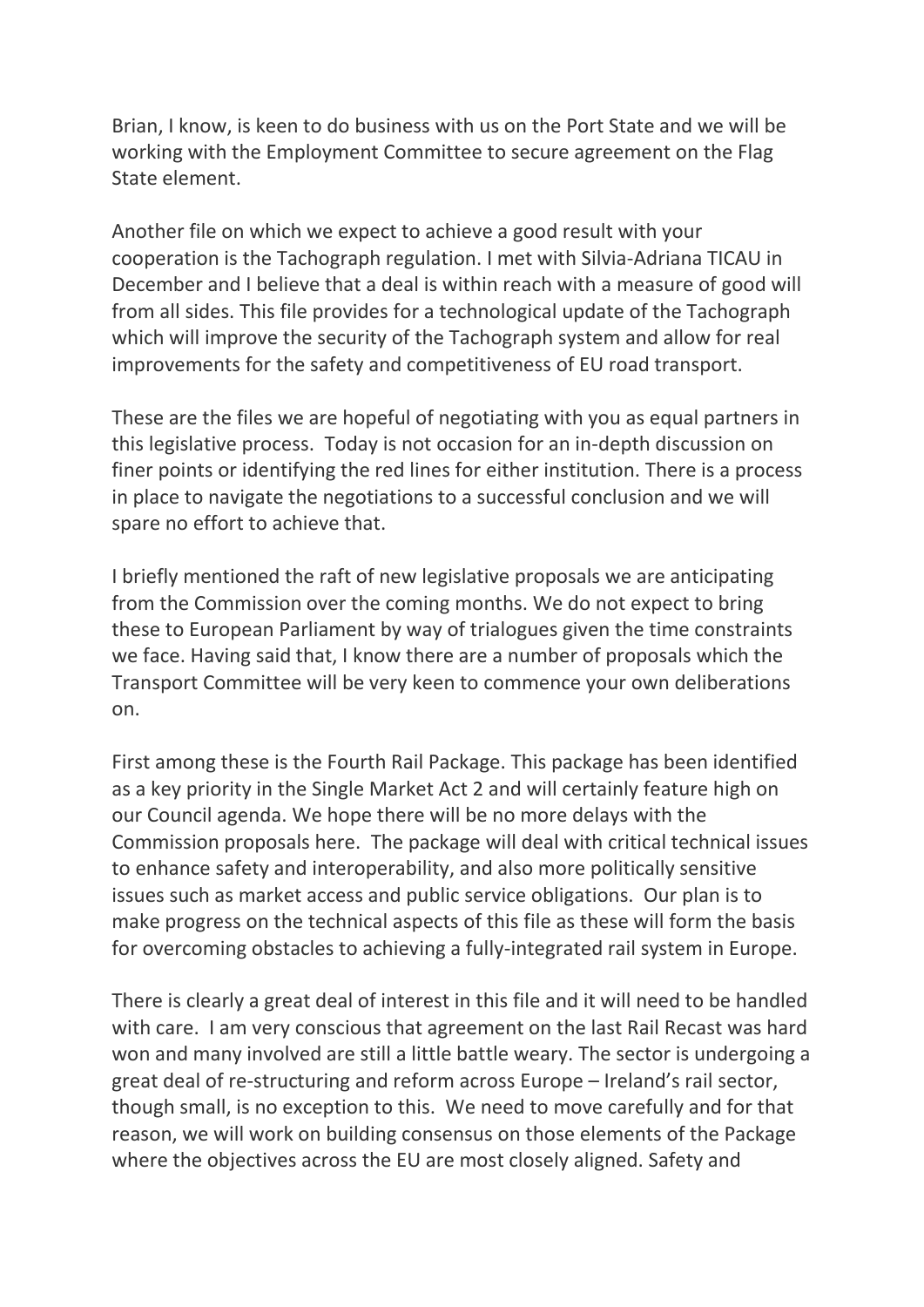Brian, I know, is keen to do business with us on the Port State and we will be working with the Employment Committee to secure agreement on the Flag State element.

Another file on which we expect to achieve a good result with your cooperation is the Tachograph regulation. I met with Silvia-Adriana TICAU in December and I believe that a deal is within reach with a measure of good will from all sides. This file provides for a technological update of the Tachograph which will improve the security of the Tachograph system and allow for real improvements for the safety and competitiveness of EU road transport.

These are the files we are hopeful of negotiating with you as equal partners in this legislative process. Today is not occasion for an in-depth discussion on finer points or identifying the red lines for either institution. There is a process in place to navigate the negotiations to a successful conclusion and we will spare no effort to achieve that.

I briefly mentioned the raft of new legislative proposals we are anticipating from the Commission over the coming months. We do not expect to bring these to European Parliament by way of trialogues given the time constraints we face. Having said that, I know there are a number of proposals which the Transport Committee will be very keen to commence your own deliberations on.

First among these is the Fourth Rail Package. This package has been identified as a key priority in the Single Market Act 2 and will certainly feature high on our Council agenda. We hope there will be no more delays with the Commission proposals here. The package will deal with critical technical issues to enhance safety and interoperability, and also more politically sensitive issues such as market access and public service obligations. Our plan is to make progress on the technical aspects of this file as these will form the basis for overcoming obstacles to achieving a fully-integrated rail system in Europe.

There is clearly a great deal of interest in this file and it will need to be handled with care. I am very conscious that agreement on the last Rail Recast was hard won and many involved are still a little battle weary. The sector is undergoing a great deal of re-structuring and reform across Europe – Ireland's rail sector, though small, is no exception to this. We need to move carefully and for that reason, we will work on building consensus on those elements of the Package where the objectives across the EU are most closely aligned. Safety and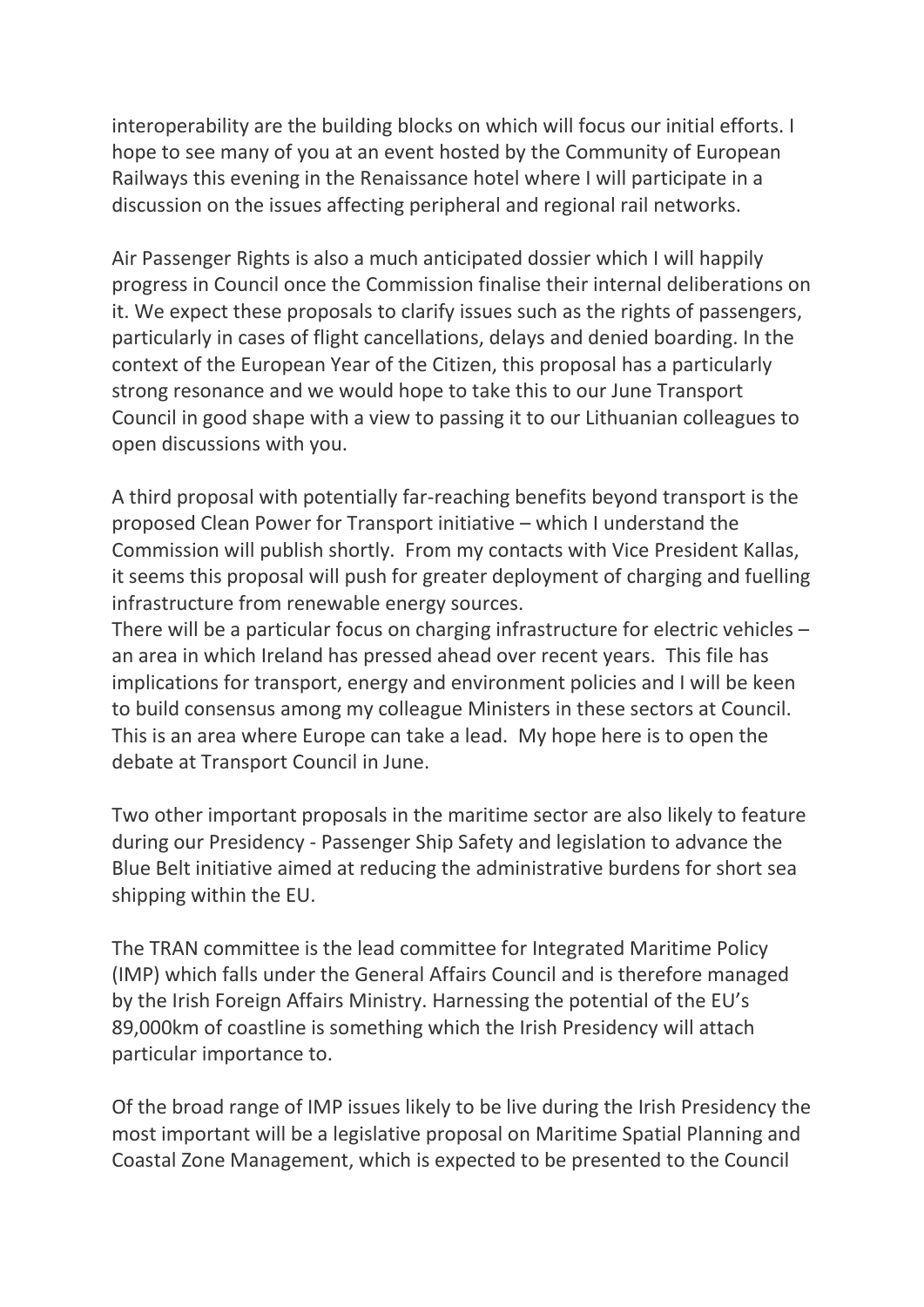interoperability are the building blocks on which will focus our initial efforts. I hope to see many of you at an event hosted by the Community of European Railways this evening in the Renaissance hotel where I will participate in a discussion on the issues affecting peripheral and regional rail networks.

Air Passenger Rights is also a much anticipated dossier which I will happily progress in Council once the Commission finalise their internal deliberations on it. We expect these proposals to clarify issues such as the rights of passengers, particularly in cases of flight cancellations, delays and denied boarding. In the context of the European Year of the Citizen, this proposal has a particularly strong resonance and we would hope to take this to our June Transport Council in good shape with a view to passing it to our Lithuanian colleagues to open discussions with you.

A third proposal with potentially far-reaching benefits beyond transport is the proposed Clean Power for Transport initiative – which I understand the Commission will publish shortly. From my contacts with Vice President Kallas, it seems this proposal will push for greater deployment of charging and fuelling infrastructure from renewable energy sources.

There will be a particular focus on charging infrastructure for electric vehicles – an area in which Ireland has pressed ahead over recent years. This file has implications for transport, energy and environment policies and I will be keen to build consensus among my colleague Ministers in these sectors at Council. This is an area where Europe can take a lead. My hope here is to open the debate at Transport Council in June.

Two other important proposals in the maritime sector are also likely to feature during our Presidency - Passenger Ship Safety and legislation to advance the Blue Belt initiative aimed at reducing the administrative burdens for short sea shipping within the EU.

The TRAN committee is the lead committee for Integrated Maritime Policy (IMP) which falls under the General Affairs Council and is therefore managed by the Irish Foreign Affairs Ministry. Harnessing the potential of the EU's 89,000km of coastline is something which the Irish Presidency will attach particular importance to.

Of the broad range of IMP issues likely to be live during the Irish Presidency the most important will be a legislative proposal on Maritime Spatial Planning and Coastal Zone Management, which is expected to be presented to the Council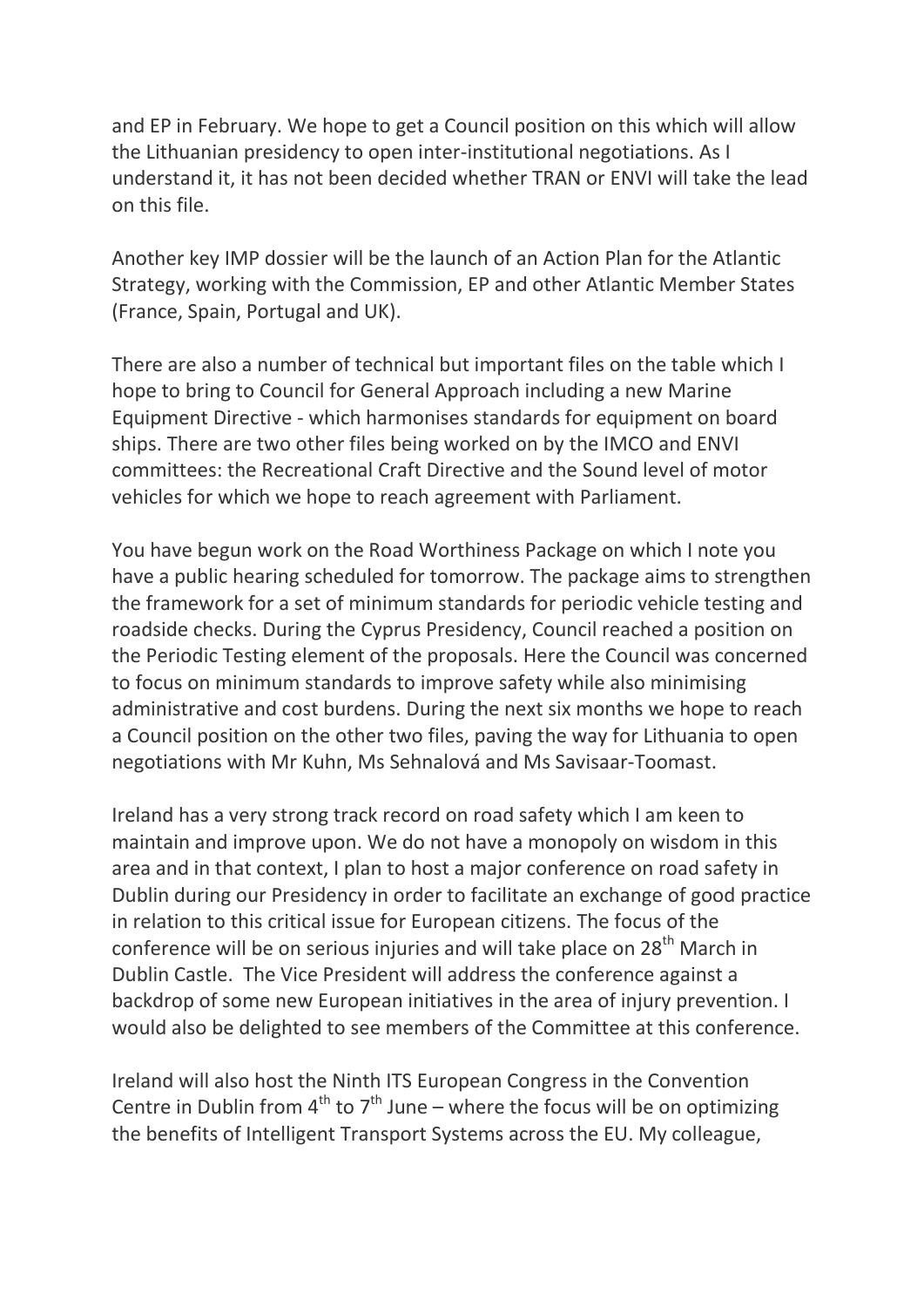and EP in February. We hope to get a Council position on this which will allow the Lithuanian presidency to open inter-institutional negotiations. As I understand it, it has not been decided whether TRAN or ENVI will take the lead on this file.

Another key IMP dossier will be the launch of an Action Plan for the Atlantic Strategy, working with the Commission, EP and other Atlantic Member States (France, Spain, Portugal and UK).

There are also a number of technical but important files on the table which I hope to bring to Council for General Approach including a new Marine Equipment Directive - which harmonises standards for equipment on board ships. There are two other files being worked on by the IMCO and ENVI committees: the Recreational Craft Directive and the Sound level of motor vehicles for which we hope to reach agreement with Parliament.

You have begun work on the Road Worthiness Package on which I note you have a public hearing scheduled for tomorrow. The package aims to strengthen the framework for a set of minimum standards for periodic vehicle testing and roadside checks. During the Cyprus Presidency, Council reached a position on the Periodic Testing element of the proposals. Here the Council was concerned to focus on minimum standards to improve safety while also minimising administrative and cost burdens. During the next six months we hope to reach a Council position on the other two files, paving the way for Lithuania to open negotiations with Mr Kuhn, Ms Sehnalová and Ms Savisaar-Toomast.

Ireland has a very strong track record on road safety which I am keen to maintain and improve upon. We do not have a monopoly on wisdom in this area and in that context, I plan to host a major conference on road safety in Dublin during our Presidency in order to facilitate an exchange of good practice in relation to this critical issue for European citizens. The focus of the conference will be on serious injuries and will take place on 28<sup>th</sup> March in Dublin Castle. The Vice President will address the conference against a backdrop of some new European initiatives in the area of injury prevention. I would also be delighted to see members of the Committee at this conference.

Ireland will also host the Ninth ITS European Congress in the Convention Centre in Dublin from  $4^{th}$  to  $7^{th}$  June – where the focus will be on optimizing the benefits of Intelligent Transport Systems across the EU. My colleague,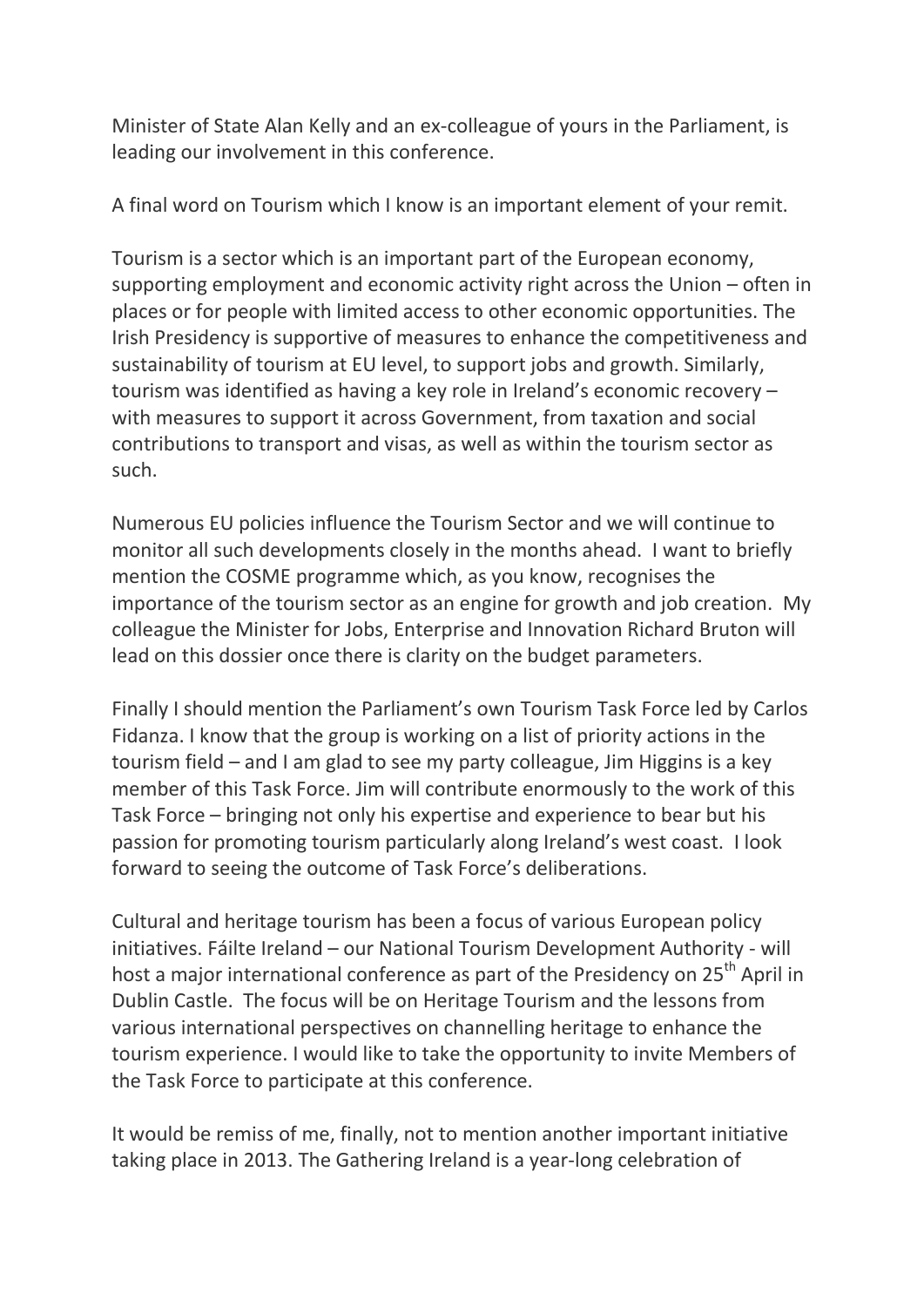Minister of State Alan Kelly and an ex-colleague of yours in the Parliament, is leading our involvement in this conference.

A final word on Tourism which I know is an important element of your remit.

Tourism is a sector which is an important part of the European economy, supporting employment and economic activity right across the Union – often in places or for people with limited access to other economic opportunities. The Irish Presidency is supportive of measures to enhance the competitiveness and sustainability of tourism at EU level, to support jobs and growth. Similarly, tourism was identified as having a key role in Ireland's economic recovery – with measures to support it across Government, from taxation and social contributions to transport and visas, as well as within the tourism sector as such.

Numerous EU policies influence the Tourism Sector and we will continue to monitor all such developments closely in the months ahead. I want to briefly mention the COSME programme which, as you know, recognises the importance of the tourism sector as an engine for growth and job creation. My colleague the Minister for Jobs, Enterprise and Innovation Richard Bruton will lead on this dossier once there is clarity on the budget parameters.

Finally I should mention the Parliament's own Tourism Task Force led by Carlos Fidanza. I know that the group is working on a list of priority actions in the tourism field – and I am glad to see my party colleague, Jim Higgins is a key member of this Task Force. Jim will contribute enormously to the work of this Task Force – bringing not only his expertise and experience to bear but his passion for promoting tourism particularly along Ireland's west coast. I look forward to seeing the outcome of Task Force's deliberations.

Cultural and heritage tourism has been a focus of various European policy initiatives. Fáilte Ireland – our National Tourism Development Authority - will host a major international conference as part of the Presidency on  $25<sup>th</sup>$  April in Dublin Castle. The focus will be on Heritage Tourism and the lessons from various international perspectives on channelling heritage to enhance the tourism experience. I would like to take the opportunity to invite Members of the Task Force to participate at this conference.

It would be remiss of me, finally, not to mention another important initiative taking place in 2013. The Gathering Ireland is a year-long celebration of